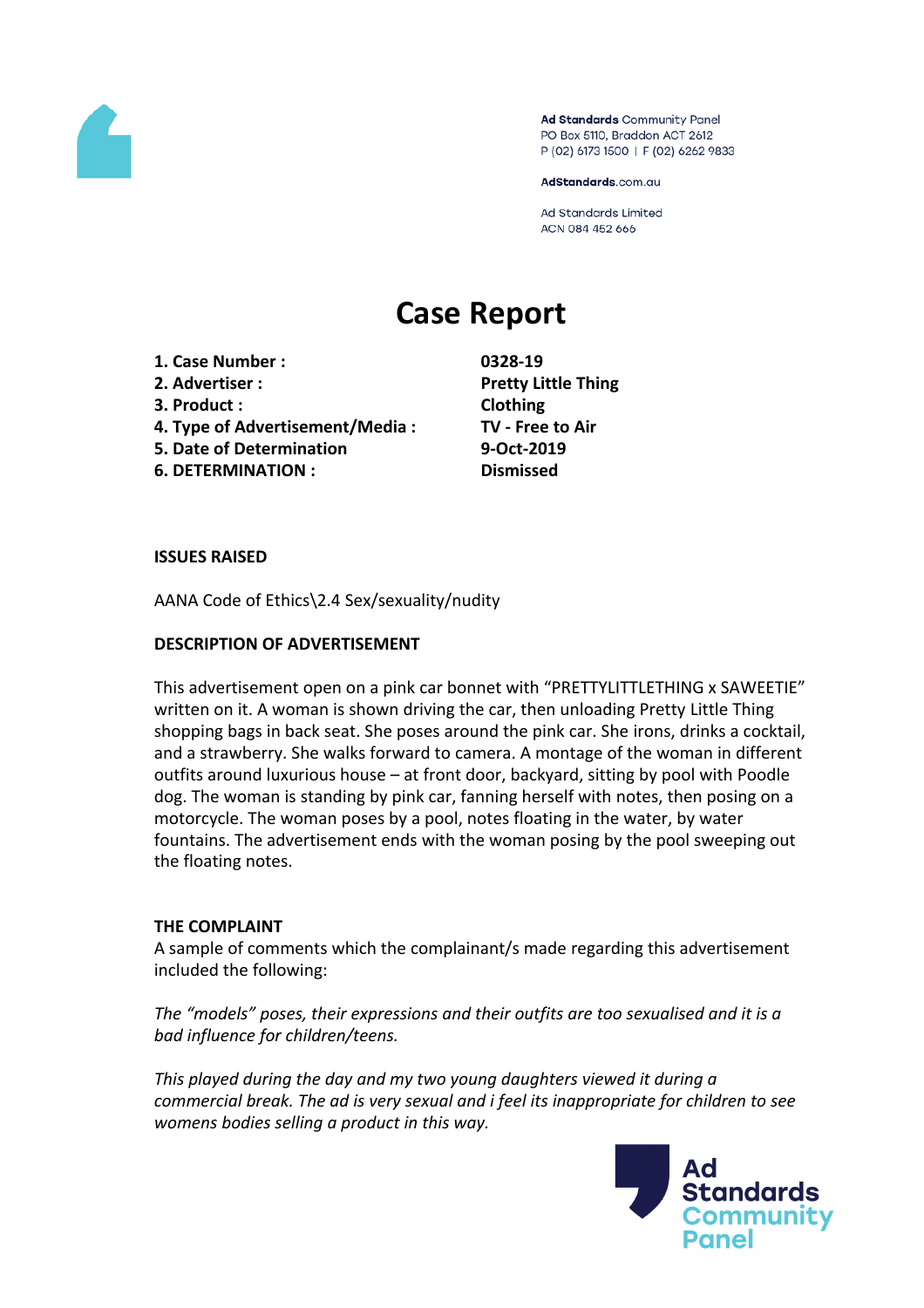

Ad Standards Community Panel PO Box 5110, Braddon ACT 2612 P (02) 6173 1500 | F (02) 6262 9833

AdStandards.com.au

**Ad Standards Limited** ACN 084 452 666

# **Case Report**

- **1. Case Number : 0328-19**
- 
- **3. Product : Clothing**
- **4. Type of Advertisement/Media : TV - Free to Air**
- **5. Date of Determination 9-Oct-2019**
- **6. DETERMINATION : Dismissed**

**2. Advertiser : Pretty Little Thing**

### **ISSUES RAISED**

AANA Code of Ethics\2.4 Sex/sexuality/nudity

# **DESCRIPTION OF ADVERTISEMENT**

This advertisement open on a pink car bonnet with "PRETTYLITTLETHING x SAWEETIE" written on it. A woman is shown driving the car, then unloading Pretty Little Thing shopping bags in back seat. She poses around the pink car. She irons, drinks a cocktail, and a strawberry. She walks forward to camera. A montage of the woman in different outfits around luxurious house – at front door, backyard, sitting by pool with Poodle dog. The woman is standing by pink car, fanning herself with notes, then posing on a motorcycle. The woman poses by a pool, notes floating in the water, by water fountains. The advertisement ends with the woman posing by the pool sweeping out the floating notes.

#### **THE COMPLAINT**

A sample of comments which the complainant/s made regarding this advertisement included the following:

*The "models" poses, their expressions and their outfits are too sexualised and it is a bad influence for children/teens.*

*This played during the day and my two young daughters viewed it during a commercial break. The ad is very sexual and i feel its inappropriate for children to see womens bodies selling a product in this way.*

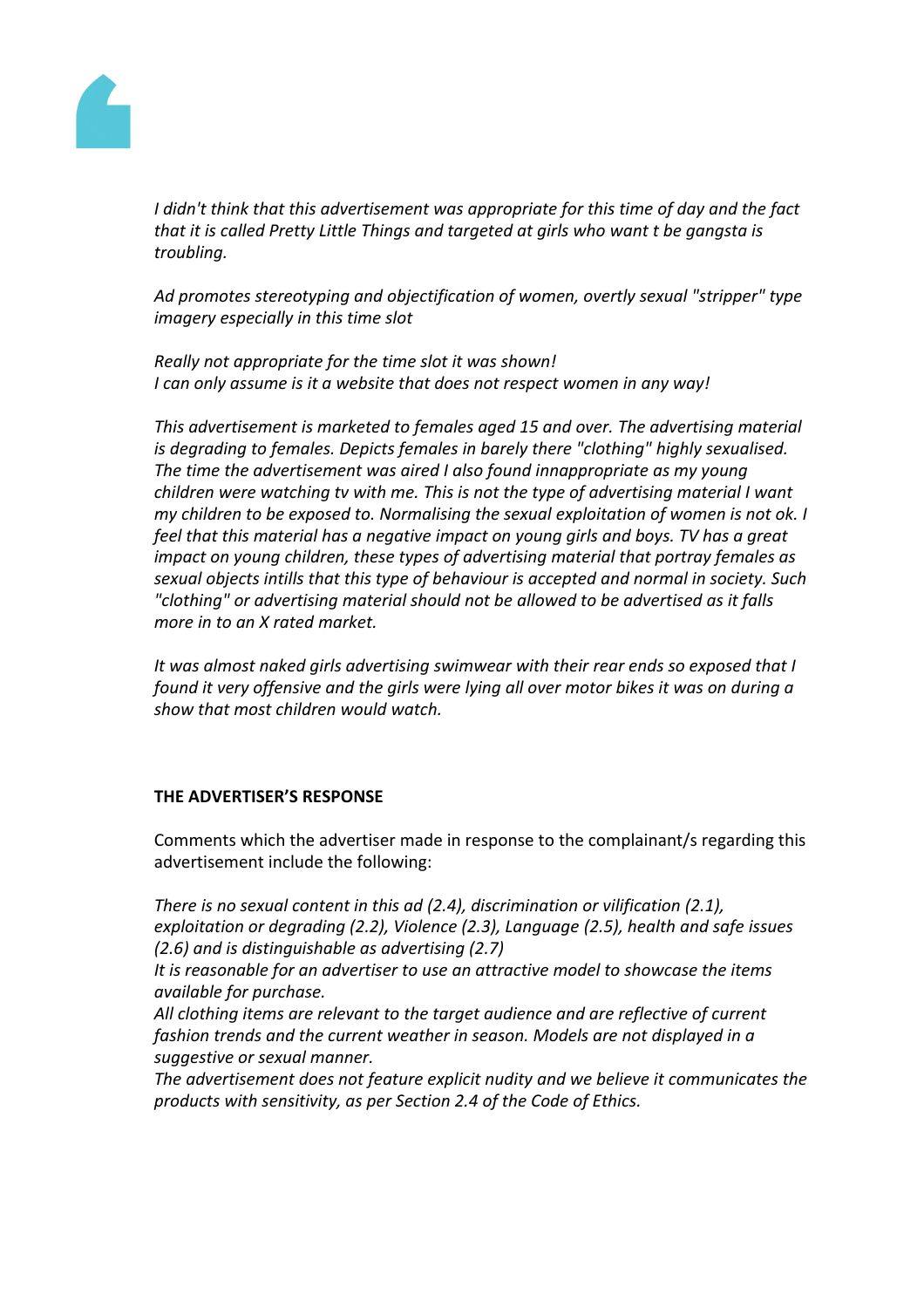

*I didn't think that this advertisement was appropriate for this time of day and the fact that it is called Pretty Little Things and targeted at girls who want t be gangsta is troubling.*

*Ad promotes stereotyping and objectification of women, overtly sexual "stripper" type imagery especially in this time slot*

*Really not appropriate for the time slot it was shown! I can only assume is it a website that does not respect women in any way!*

*This advertisement is marketed to females aged 15 and over. The advertising material is degrading to females. Depicts females in barely there "clothing" highly sexualised. The time the advertisement was aired I also found innappropriate as my young children were watching tv with me. This is not the type of advertising material I want my children to be exposed to. Normalising the sexual exploitation of women is not ok. I feel that this material has a negative impact on young girls and boys. TV has a great impact on young children, these types of advertising material that portray females as sexual objects intills that this type of behaviour is accepted and normal in society. Such "clothing" or advertising material should not be allowed to be advertised as it falls more in to an X rated market.*

*It was almost naked girls advertising swimwear with their rear ends so exposed that I found it very offensive and the girls were lying all over motor bikes it was on during a show that most children would watch.*

#### **THE ADVERTISER'S RESPONSE**

Comments which the advertiser made in response to the complainant/s regarding this advertisement include the following:

*There is no sexual content in this ad (2.4), discrimination or vilification (2.1), exploitation or degrading (2.2), Violence (2.3), Language (2.5), health and safe issues (2.6) and is distinguishable as advertising (2.7)*

*It is reasonable for an advertiser to use an attractive model to showcase the items available for purchase.*

*All clothing items are relevant to the target audience and are reflective of current fashion trends and the current weather in season. Models are not displayed in a suggestive or sexual manner.*

*The advertisement does not feature explicit nudity and we believe it communicates the products with sensitivity, as per Section 2.4 of the Code of Ethics.*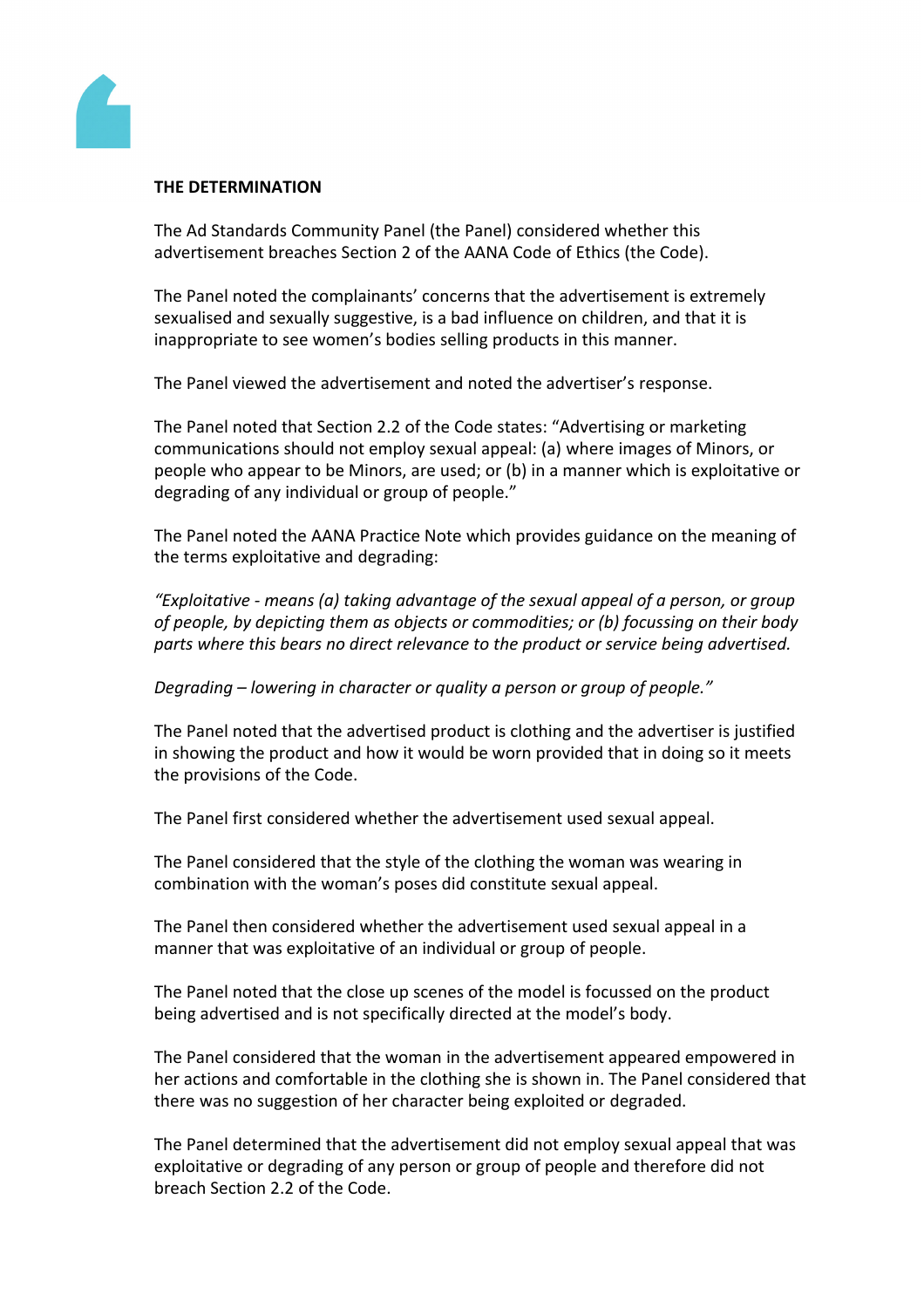

## **THE DETERMINATION**

The Ad Standards Community Panel (the Panel) considered whether this advertisement breaches Section 2 of the AANA Code of Ethics (the Code).

The Panel noted the complainants' concerns that the advertisement is extremely sexualised and sexually suggestive, is a bad influence on children, and that it is inappropriate to see women's bodies selling products in this manner.

The Panel viewed the advertisement and noted the advertiser's response.

The Panel noted that Section 2.2 of the Code states: "Advertising or marketing communications should not employ sexual appeal: (a) where images of Minors, or people who appear to be Minors, are used; or (b) in a manner which is exploitative or degrading of any individual or group of people."

The Panel noted the AANA Practice Note which provides guidance on the meaning of the terms exploitative and degrading:

*"Exploitative - means (a) taking advantage of the sexual appeal of a person, or group of people, by depicting them as objects or commodities; or (b) focussing on their body parts where this bears no direct relevance to the product or service being advertised.*

# *Degrading – lowering in character or quality a person or group of people."*

The Panel noted that the advertised product is clothing and the advertiser is justified in showing the product and how it would be worn provided that in doing so it meets the provisions of the Code.

The Panel first considered whether the advertisement used sexual appeal.

The Panel considered that the style of the clothing the woman was wearing in combination with the woman's poses did constitute sexual appeal.

The Panel then considered whether the advertisement used sexual appeal in a manner that was exploitative of an individual or group of people.

The Panel noted that the close up scenes of the model is focussed on the product being advertised and is not specifically directed at the model's body.

The Panel considered that the woman in the advertisement appeared empowered in her actions and comfortable in the clothing she is shown in. The Panel considered that there was no suggestion of her character being exploited or degraded.

The Panel determined that the advertisement did not employ sexual appeal that was exploitative or degrading of any person or group of people and therefore did not breach Section 2.2 of the Code.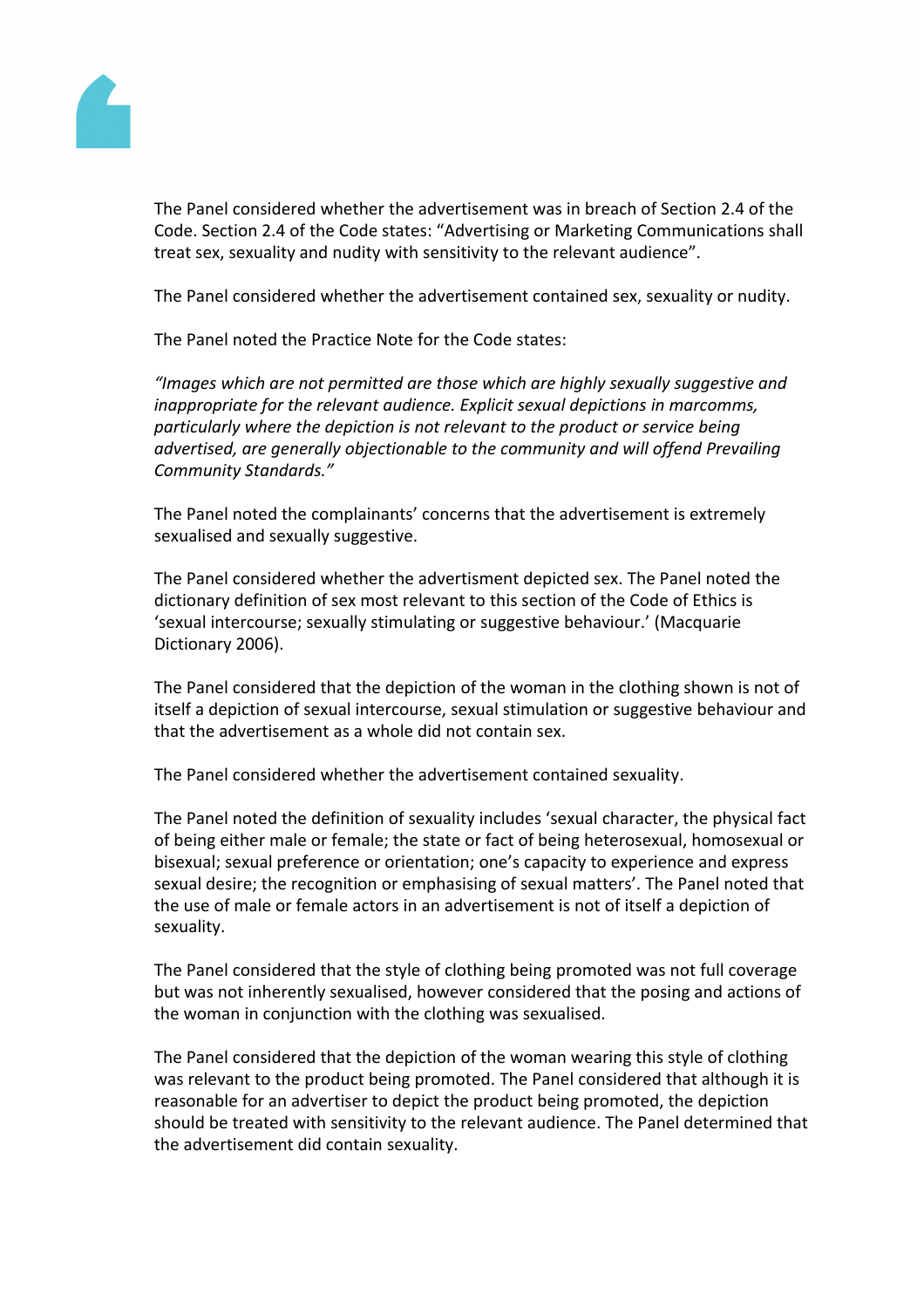

The Panel considered whether the advertisement was in breach of Section 2.4 of the Code. Section 2.4 of the Code states: "Advertising or Marketing Communications shall treat sex, sexuality and nudity with sensitivity to the relevant audience".

The Panel considered whether the advertisement contained sex, sexuality or nudity.

The Panel noted the Practice Note for the Code states:

*"Images which are not permitted are those which are highly sexually suggestive and inappropriate for the relevant audience. Explicit sexual depictions in marcomms, particularly where the depiction is not relevant to the product or service being advertised, are generally objectionable to the community and will offend Prevailing Community Standards."*

The Panel noted the complainants' concerns that the advertisement is extremely sexualised and sexually suggestive.

The Panel considered whether the advertisment depicted sex. The Panel noted the dictionary definition of sex most relevant to this section of the Code of Ethics is 'sexual intercourse; sexually stimulating or suggestive behaviour.' (Macquarie Dictionary 2006).

The Panel considered that the depiction of the woman in the clothing shown is not of itself a depiction of sexual intercourse, sexual stimulation or suggestive behaviour and that the advertisement as a whole did not contain sex.

The Panel considered whether the advertisement contained sexuality.

The Panel noted the definition of sexuality includes 'sexual character, the physical fact of being either male or female; the state or fact of being heterosexual, homosexual or bisexual; sexual preference or orientation; one's capacity to experience and express sexual desire; the recognition or emphasising of sexual matters'. The Panel noted that the use of male or female actors in an advertisement is not of itself a depiction of sexuality.

The Panel considered that the style of clothing being promoted was not full coverage but was not inherently sexualised, however considered that the posing and actions of the woman in conjunction with the clothing was sexualised.

The Panel considered that the depiction of the woman wearing this style of clothing was relevant to the product being promoted. The Panel considered that although it is reasonable for an advertiser to depict the product being promoted, the depiction should be treated with sensitivity to the relevant audience. The Panel determined that the advertisement did contain sexuality.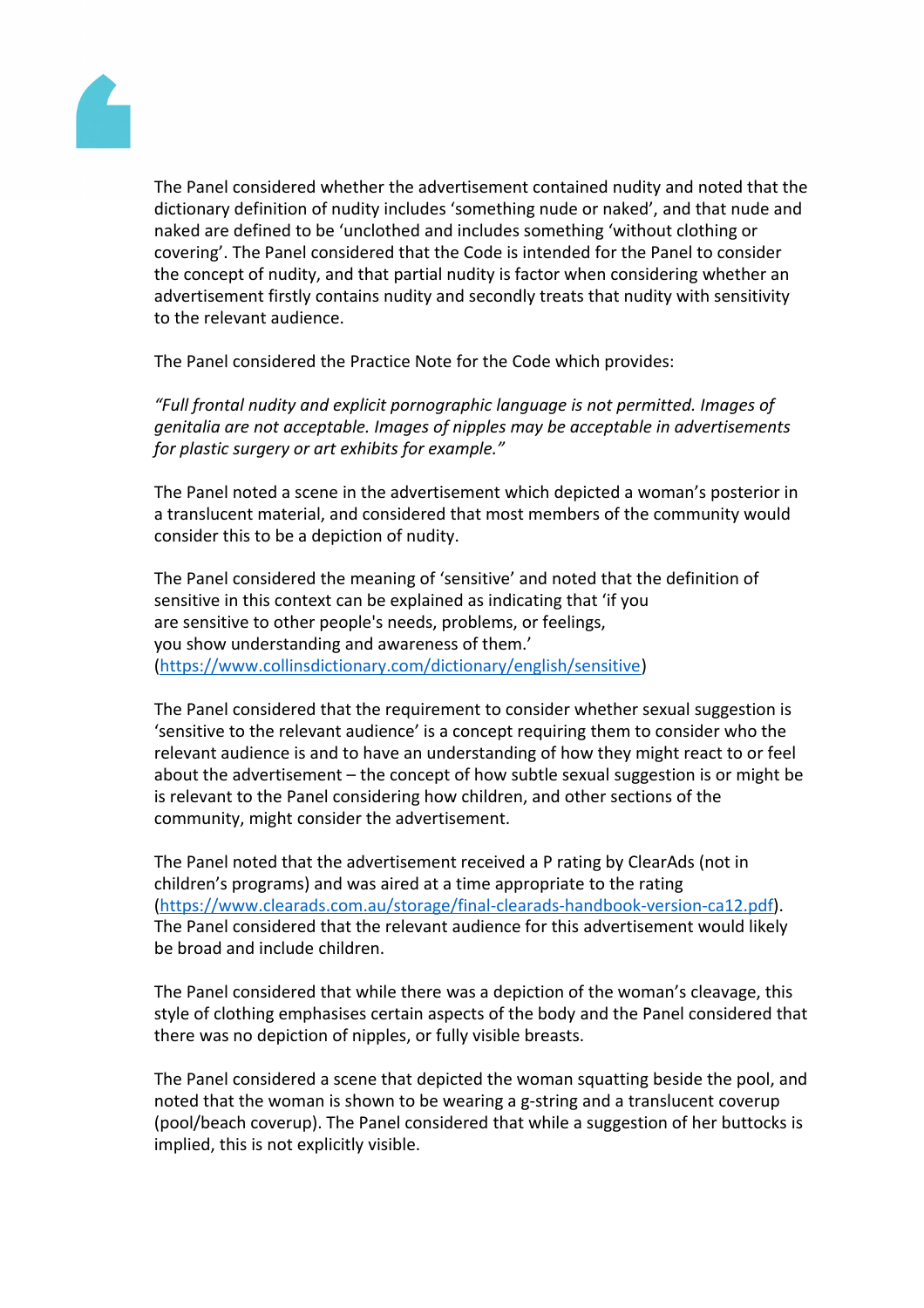ThePanel considered whethere advertisement containedudity and notedthat the dictionary definitionof nudity includes 'something nude or nake that that nude and nakedare defined to be 'unclothed nd includes somethin' without clothing or covering'.The Pane considered hat the Codes intended for the Panelto consider the concept of nudity, and that artial nudity is factor when considering ther an advertisement firstlycontainsnudity and secondlytreatsthat nudity with sensitivity to the relevant audience.

ThePanel considered the Practice Note for the Code which provides:

"Fullfrontal nudityandexplicit pornographicanguageisnot permitted.Images of genitaliaare notacceptable. Images nipples may be acceptable advertisements for plastic surgery or art exhibits for example."

ThePanel noted a scene the advertisementwhich depicteda woman'sposterior in a translucentmaterial, and considered hat most members of the community would consider this to be a depiction of nudity.

ThePanel considered theneaning of 'sensitive' and note dat the definition of sensitive in this context can be explained as indicating hat 'if you are sensitive to ther people's needs problems, or feelings, youshow understandingand awareness of them.' [\(https://www.collinsdictionary.com/dictionary/english/sensitiv](https://www.collinsdictionary.com/dictionary/english/sensitive)e[\)](https://www.collinsdictionary.com/dictionary/english/sensitive)

ThePanel considered that the requiremet to considerwhether sexualsuggestionis 'sensitiveto the relevantaudience' is a concept requirinulgem to considerwho the relevant audience iand to havean understanding fhow they might react to or feel about theadvertisement  $-$  the concept of how subtle sexual passionisor might be is relevant to the Panel considering how hildren, and other sections of the community, mightconsiderthe advertisement.

ThePanel noted that theadvertisement received **B** rating byClearAds (noth children'sprograms)andwas aired at a time appropriate the rating [\(https://www.clearads.com.au/storage/final-clearads-handbook-version-ca12](https://www.clearads.com.au/storage/final-clearads-handbook-version-ca12.pdf).pdf). ThePanel considered that the relevant audience for this entirement would likely be broad and include hildren.

ThePanel considered that while thereasadepiction of the woman's cleavage, this styleof clothing emphasises certain aspects of the badd thePanel considerethat there was no depictionof nipples,or fully visible breasts.

ThePanel considered a scene thote picted the woman squattining esidethe pool, and noted that the woman isshownto be wearing a g-stringnd a translucentoverup (pool/beach coverup). The Panel consideted while a suggestion of her buttocks implied, this is not explicitlwisible.